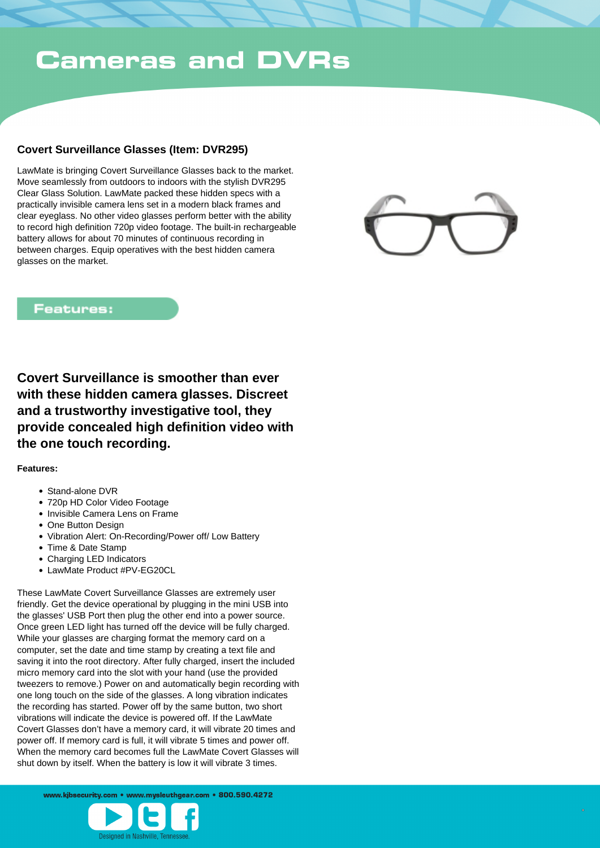## **Cameras and DVRs**

### **Covert Surveillance Glasses (Item: DVR295)**

LawMate is bringing Covert Surveillance Glasses back to the market. Move seamlessly from outdoors to indoors with the stylish DVR295 Clear Glass Solution. LawMate packed these hidden specs with a practically invisible camera lens set in a modern black frames and clear eyeglass. No other video glasses perform better with the ability to record high definition 720p video footage. The built-in rechargeable battery allows for about 70 minutes of continuous recording in between charges. Equip operatives with the best hidden camera glasses on the market.



#### **Features:**

**Covert Surveillance is smoother than ever with these hidden camera glasses. Discreet and a trustworthy investigative tool, they provide concealed high definition video with the one touch recording.** 

#### **Features:**

- Stand-alone DVR
- 720p HD Color Video Footage
- Invisible Camera Lens on Frame
- One Button Design
- Vibration Alert: On-Recording/Power off/ Low Battery
- Time & Date Stamp
- Charging LED Indicators
- LawMate Product #PV-EG20CL

These LawMate Covert Surveillance Glasses are extremely user friendly. Get the device operational by plugging in the mini USB into the glasses' USB Port then plug the other end into a power source. Once green LED light has turned off the device will be fully charged. While your glasses are charging format the memory card on a computer, set the date and time stamp by creating a text file and saving it into the root directory. After fully charged, insert the included micro memory card into the slot with your hand (use the provided tweezers to remove.) Power on and automatically begin recording with one long touch on the side of the glasses. A long vibration indicates the recording has started. Power off by the same button, two short vibrations will indicate the device is powered off. If the LawMate Covert Glasses don't have a memory card, it will vibrate 20 times and power off. If memory card is full, it will vibrate 5 times and power off. When the memory card becomes full the LawMate Covert Glasses will shut down by itself. When the battery is low it will vibrate 3 times.

www.kibsecurity.com • www.mysleuthgear.com • 800.590.4272